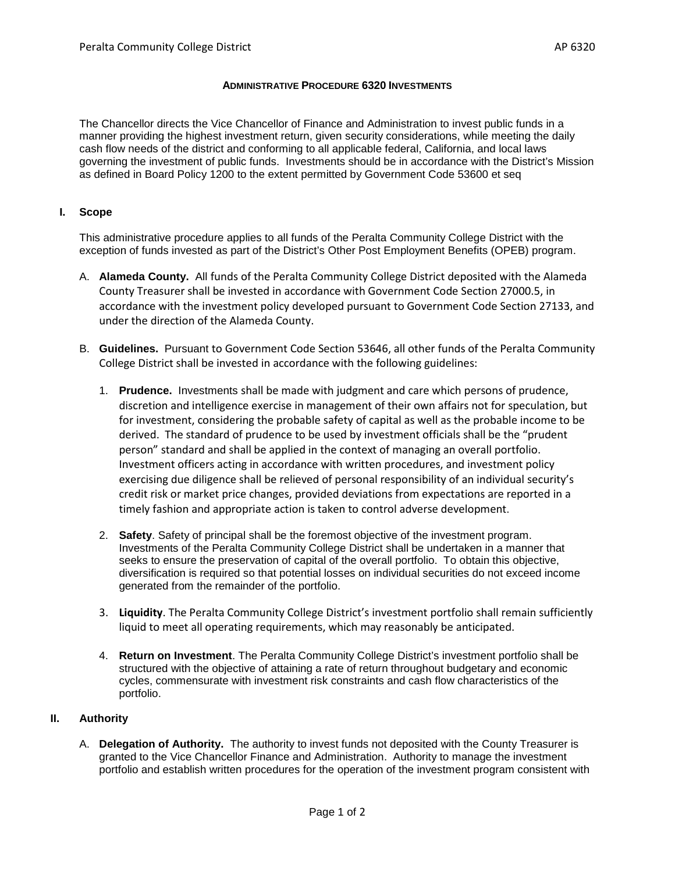#### **ADMINISTRATIVE PROCEDURE 6320 INVESTMENTS**

The Chancellor directs the Vice Chancellor of Finance and Administration to invest public funds in a manner providing the highest investment return, given security considerations, while meeting the daily cash flow needs of the district and conforming to all applicable federal, California, and local laws governing the investment of public funds. Investments should be in accordance with the District's Mission as defined in Board Policy 1200 to the extent permitted by Government Code 53600 et seq

## **I. Scope**

This administrative procedure applies to all funds of the Peralta Community College District with the exception of funds invested as part of the District's Other Post Employment Benefits (OPEB) program.

- A. **Alameda County.** All funds of the Peralta Community College District deposited with the Alameda County Treasurer shall be invested in accordance with Government Code Section 27000.5, in accordance with the investment policy developed pursuant to Government Code Section 27133, and under the direction of the Alameda County.
- B. **Guidelines.** Pursuant to Government Code Section 53646, all other funds of the Peralta Community College District shall be invested in accordance with the following guidelines:
	- 1. **Prudence.** Investments shall be made with judgment and care which persons of prudence, discretion and intelligence exercise in management of their own affairs not for speculation, but for investment, considering the probable safety of capital as well as the probable income to be derived. The standard of prudence to be used by investment officials shall be the "prudent person" standard and shall be applied in the context of managing an overall portfolio. Investment officers acting in accordance with written procedures, and investment policy exercising due diligence shall be relieved of personal responsibility of an individual security's credit risk or market price changes, provided deviations from expectations are reported in a timely fashion and appropriate action is taken to control adverse development.
	- 2. **Safety**. Safety of principal shall be the foremost objective of the investment program. Investments of the Peralta Community College District shall be undertaken in a manner that seeks to ensure the preservation of capital of the overall portfolio. To obtain this objective, diversification is required so that potential losses on individual securities do not exceed income generated from the remainder of the portfolio.
	- 3. **Liquidity**. The Peralta Community College District's investment portfolio shall remain sufficiently liquid to meet all operating requirements, which may reasonably be anticipated.
	- 4. **Return on Investment**. The Peralta Community College District's investment portfolio shall be structured with the objective of attaining a rate of return throughout budgetary and economic cycles, commensurate with investment risk constraints and cash flow characteristics of the portfolio.

## **II. Authority**

A. **Delegation of Authority.** The authority to invest funds not deposited with the County Treasurer is granted to the Vice Chancellor Finance and Administration. Authority to manage the investment portfolio and establish written procedures for the operation of the investment program consistent with